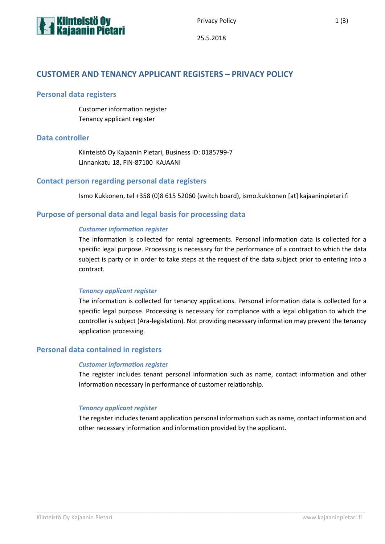

Privacy Policy 2012 12:30

# **CUSTOMER AND TENANCY APPLICANT REGISTERS – PRIVACY POLICY**

## **Personal data registers**

Customer information register Tenancy applicant register

## **Data controller**

Kiinteistö Oy Kajaanin Pietari, Business ID: 0185799-7 Linnankatu 18, FIN-87100 KAJAANI

## **Contact person regarding personal data registers**

Ismo Kukkonen, tel +358 (0)8 615 52060 (switch board), ismo.kukkonen [at] kajaaninpietari.fi

## **Purpose of personal data and legal basis for processing data**

## *Customer information register*

The information is collected for rental agreements. Personal information data is collected for a specific legal purpose. Processing is necessary for the performance of a contract to which the data subject is party or in order to take steps at the request of the data subject prior to entering into a contract.

#### *Tenancy applicant register*

The information is collected for tenancy applications. Personal information data is collected for a specific legal purpose. Processing is necessary for compliance with a legal obligation to which the controller is subject (Ara-legislation). Not providing necessary information may prevent the tenancy application processing.

#### **Personal data contained in registers**

#### *Customer information register*

The register includes tenant personal information such as name, contact information and other information necessary in performance of customer relationship.

#### *Tenancy applicant register*

The register includes tenant application personal information such as name, contact information and other necessary information and information provided by the applicant.

\_\_\_\_\_\_\_\_\_\_\_\_\_\_\_\_\_\_\_\_\_\_\_\_\_\_\_\_\_\_\_\_\_\_\_\_\_\_\_\_\_\_\_\_\_\_\_\_\_\_\_\_\_\_\_\_\_\_\_\_\_\_\_\_\_\_\_\_\_\_\_\_\_\_\_\_\_\_\_\_\_\_\_\_\_\_\_\_\_\_\_\_\_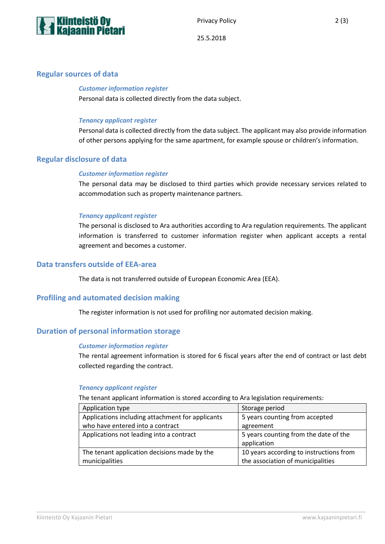

25.5.2018

## **Regular sources of data**

# *Customer information register*

Personal data is collected directly from the data subject.

#### *Tenancy applicant register*

Personal data is collected directly from the data subject. The applicant may also provide information of other persons applying for the same apartment, for example spouse or children's information.

## **Regular disclosure of data**

#### *Customer information register*

The personal data may be disclosed to third parties which provide necessary services related to accommodation such as property maintenance partners.

#### *Tenancy applicant register*

The personal is disclosed to Ara authorities according to Ara regulation requirements. The applicant information is transferred to customer information register when applicant accepts a rental agreement and becomes a customer.

## **Data transfers outside of EEA-area**

The data is not transferred outside of European Economic Area (EEA).

#### **Profiling and automated decision making**

The register information is not used for profiling nor automated decision making.

## **Duration of personal information storage**

#### *Customer information register*

The rental agreement information is stored for 6 fiscal years after the end of contract or last debt collected regarding the contract.

#### *Tenancy applicant register*

The tenant applicant information is stored according to Ara legislation requirements:

\_\_\_\_\_\_\_\_\_\_\_\_\_\_\_\_\_\_\_\_\_\_\_\_\_\_\_\_\_\_\_\_\_\_\_\_\_\_\_\_\_\_\_\_\_\_\_\_\_\_\_\_\_\_\_\_\_\_\_\_\_\_\_\_\_\_\_\_\_\_\_\_\_\_\_\_\_\_\_\_\_\_\_\_\_\_\_\_\_\_\_\_\_

| Application type                                 | Storage period                          |
|--------------------------------------------------|-----------------------------------------|
| Applications including attachment for applicants | 5 years counting from accepted          |
| who have entered into a contract                 | agreement                               |
| Applications not leading into a contract         | 5 years counting from the date of the   |
|                                                  | application                             |
| The tenant application decisions made by the     | 10 years according to instructions from |
| municipalities                                   | the association of municipalities       |